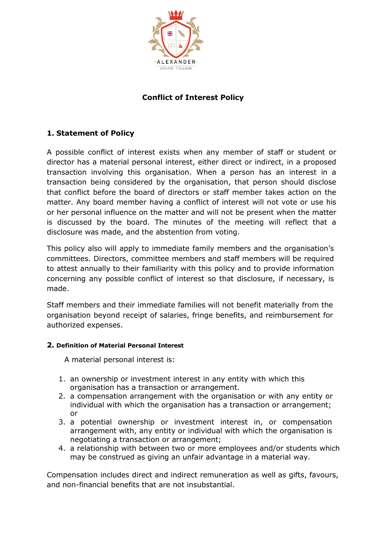

# **Conflict of Interest Policy**

## **1. Statement of Policy**

A possible conflict of interest exists when any member of staff or student or director has a material personal interest, either direct or indirect, in a proposed transaction involving this organisation. When a person has an interest in a transaction being considered by the organisation, that person should disclose that conflict before the board of directors or staff member takes action on the matter. Any board member having a conflict of interest will not vote or use his or her personal influence on the matter and will not be present when the matter is discussed by the board. The minutes of the meeting will reflect that a disclosure was made, and the abstention from voting.

This policy also will apply to immediate family members and the organisation's committees. Directors, committee members and staff members will be required to attest annually to their familiarity with this policy and to provide information concerning any possible conflict of interest so that disclosure, if necessary, is made.

Staff members and their immediate families will not benefit materially from the organisation beyond receipt of salaries, fringe benefits, and reimbursement for authorized expenses.

#### **2. Definition of Material Personal Interest**

A material personal interest is:

- 1. an ownership or investment interest in any entity with which this organisation has a transaction or arrangement.
- 2. a compensation arrangement with the organisation or with any entity or individual with which the organisation has a transaction or arrangement; or
- 3. a potential ownership or investment interest in, or compensation arrangement with, any entity or individual with which the organisation is negotiating a transaction or arrangement;
- 4. a relationship with between two or more employees and/or students which may be construed as giving an unfair advantage in a material way.

Compensation includes direct and indirect remuneration as well as gifts, favours, and non-financial benefits that are not insubstantial.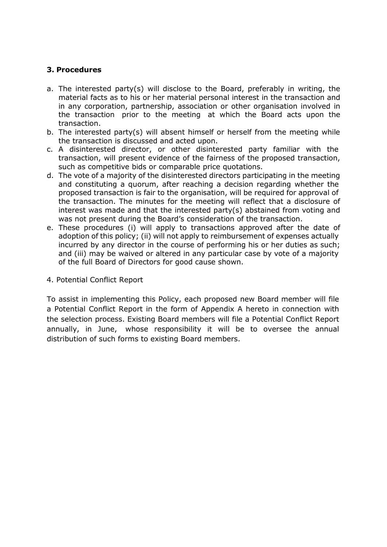#### **3. Procedures**

- a. The interested party(s) will disclose to the Board, preferably in writing, the material facts as to his or her material personal interest in the transaction and in any corporation, partnership, association or other organisation involved in the transaction prior to the meeting at which the Board acts upon the transaction.
- b. The interested party(s) will absent himself or herself from the meeting while the transaction is discussed and acted upon.
- c. A disinterested director, or other disinterested party familiar with the transaction, will present evidence of the fairness of the proposed transaction, such as competitive bids or comparable price quotations.
- d. The vote of a majority of the disinterested directors participating in the meeting and constituting a quorum, after reaching a decision regarding whether the proposed transaction is fair to the organisation, will be required for approval of the transaction. The minutes for the meeting will reflect that a disclosure of interest was made and that the interested party(s) abstained from voting and was not present during the Board's consideration of the transaction.
- e. These procedures (i) will apply to transactions approved after the date of adoption of this policy; (ii) will not apply to reimbursement of expenses actually incurred by any director in the course of performing his or her duties as such; and (iii) may be waived or altered in any particular case by vote of a majority of the full Board of Directors for good cause shown.
- 4. Potential Conflict Report

To assist in implementing this Policy, each proposed new Board member will file a Potential Conflict Report in the form of Appendix A hereto in connection with the selection process. Existing Board members will file a Potential Conflict Report annually, in June, whose responsibility it will be to oversee the annual distribution of such forms to existing Board members.